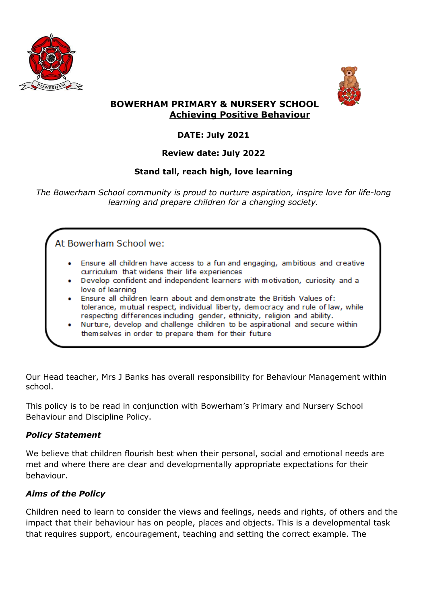



## **BOWERHAM PRIMARY & NURSERY SCHOOL Achieving Positive Behaviour**

# **DATE: July 2021**

# **Review date: July 2022**

# **Stand tall, reach high, love learning**

*The Bowerham School community is proud to nurture aspiration, inspire love for life-long learning and prepare children for a changing society.*

At Bowerham School we:

- Ensure all children have access to a fun and engaging, ambitious and creative curriculum that widens their life experiences
- Develop confident and independent learners with motivation, curiosity and a love of learning
- Ensure all children learn about and demonstrate the British Values of: tolerance, mutual respect, individual liberty, democracy and rule of law, while respecting differences including gender, ethnicity, religion and ability.
- Nurture, develop and challenge children to be aspirational and secure within themselves in order to prepare them for their future

Our Head teacher, Mrs J Banks has overall responsibility for Behaviour Management within school.

This policy is to be read in conjunction with Bowerham's Primary and Nursery School Behaviour and Discipline Policy.

### *Policy Statement*

We believe that children flourish best when their personal, social and emotional needs are met and where there are clear and developmentally appropriate expectations for their behaviour.

# *Aims of the Policy*

Children need to learn to consider the views and feelings, needs and rights, of others and the impact that their behaviour has on people, places and objects. This is a developmental task that requires support, encouragement, teaching and setting the correct example. The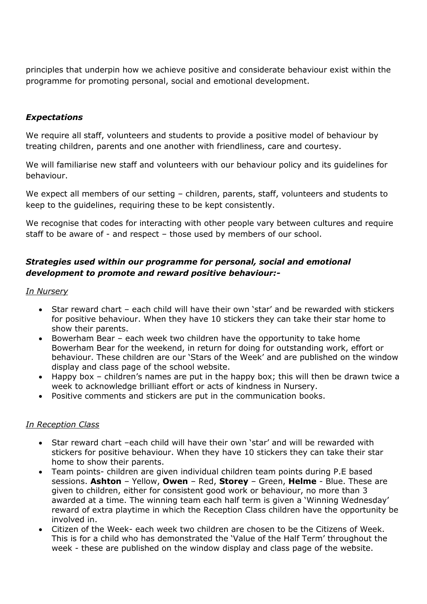principles that underpin how we achieve positive and considerate behaviour exist within the programme for promoting personal, social and emotional development.

### *Expectations*

We require all staff, volunteers and students to provide a positive model of behaviour by treating children, parents and one another with friendliness, care and courtesy.

We will familiarise new staff and volunteers with our behaviour policy and its guidelines for behaviour.

We expect all members of our setting – children, parents, staff, volunteers and students to keep to the guidelines, requiring these to be kept consistently.

We recognise that codes for interacting with other people vary between cultures and require staff to be aware of - and respect – those used by members of our school.

## *Strategies used within our programme for personal, social and emotional development to promote and reward positive behaviour:-*

*In Nursery*

- Star reward chart each child will have their own 'star' and be rewarded with stickers for positive behaviour. When they have 10 stickers they can take their star home to show their parents.
- Bowerham Bear each week two children have the opportunity to take home Bowerham Bear for the weekend, in return for doing for outstanding work, effort or behaviour. These children are our 'Stars of the Week' and are published on the window display and class page of the school website.
- Happy box children's names are put in the happy box; this will then be drawn twice a week to acknowledge brilliant effort or acts of kindness in Nursery.
- Positive comments and stickers are put in the communication books.

#### *In Reception Class*

- Star reward chart –each child will have their own 'star' and will be rewarded with stickers for positive behaviour. When they have 10 stickers they can take their star home to show their parents.
- Team points- children are given individual children team points during P.E based sessions. **Ashton** – Yellow, **Owen** – Red, **Storey** – Green, **Helme** - Blue. These are given to children, either for consistent good work or behaviour, no more than 3 awarded at a time. The winning team each half term is given a 'Winning Wednesday' reward of extra playtime in which the Reception Class children have the opportunity be involved in.
- Citizen of the Week- each week two children are chosen to be the Citizens of Week. This is for a child who has demonstrated the 'Value of the Half Term' throughout the week - these are published on the window display and class page of the website.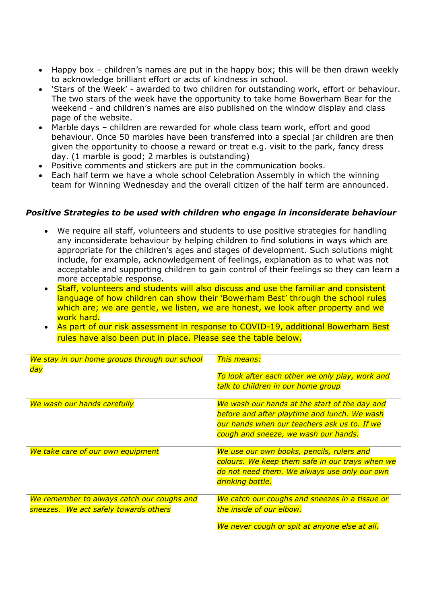- Happy box children's names are put in the happy box; this will be then drawn weekly to acknowledge brilliant effort or acts of kindness in school.
- 'Stars of the Week' awarded to two children for outstanding work, effort or behaviour. The two stars of the week have the opportunity to take home Bowerham Bear for the weekend - and children's names are also published on the window display and class page of the website.
- Marble days children are rewarded for whole class team work, effort and good behaviour. Once 50 marbles have been transferred into a special jar children are then given the opportunity to choose a reward or treat e.g. visit to the park, fancy dress day. (1 marble is good; 2 marbles is outstanding)
- Positive comments and stickers are put in the communication books.
- Each half term we have a whole school Celebration Assembly in which the winning team for Winning Wednesday and the overall citizen of the half term are announced.

#### *Positive Strategies to be used with children who engage in inconsiderate behaviour*

- We require all staff, volunteers and students to use positive strategies for handling any inconsiderate behaviour by helping children to find solutions in ways which are appropriate for the children's ages and stages of development. Such solutions might include, for example, acknowledgement of feelings, explanation as to what was not acceptable and supporting children to gain control of their feelings so they can learn a more acceptable response.
- Staff, volunteers and students will also discuss and use the familiar and consistent language of how children can show their 'Bowerham Best' through the school rules which are; we are gentle, we listen, we are honest, we look after property and we work hard.
- As part of our risk assessment in response to COVID-19, additional Bowerham Best rules have also been put in place. Please see the table below.

| We stay in our home groups through our school<br>day                                | <b>This means:</b><br>To look after each other we only play, work and<br>talk to children in our home group                                                                           |
|-------------------------------------------------------------------------------------|---------------------------------------------------------------------------------------------------------------------------------------------------------------------------------------|
| We wash our hands carefully                                                         | We wash our hands at the start of the day and<br>before and after playtime and lunch. We wash<br>our hands when our teachers ask us to. If we<br>cough and sneeze, we wash our hands. |
| We take care of our own equipment                                                   | We use our own books, pencils, rulers and<br>colours. We keep them safe in our trays when we<br>do not need them. We always use only our own<br>drinking bottle.                      |
| We remember to always catch our coughs and<br>sneezes. We act safely towards others | We catch our coughs and sneezes in a tissue or<br>the inside of our elbow.<br>We never cough or spit at anyone else at all.                                                           |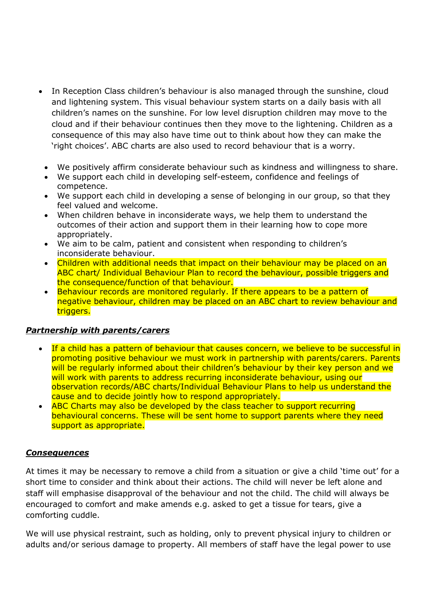- In Reception Class children's behaviour is also managed through the sunshine, cloud and lightening system. This visual behaviour system starts on a daily basis with all children's names on the sunshine. For low level disruption children may move to the cloud and if their behaviour continues then they move to the lightening. Children as a consequence of this may also have time out to think about how they can make the 'right choices'. ABC charts are also used to record behaviour that is a worry.
	- We positively affirm considerate behaviour such as kindness and willingness to share.
	- We support each child in developing self-esteem, confidence and feelings of competence.
	- We support each child in developing a sense of belonging in our group, so that they feel valued and welcome.
	- When children behave in inconsiderate ways, we help them to understand the outcomes of their action and support them in their learning how to cope more appropriately.
	- We aim to be calm, patient and consistent when responding to children's inconsiderate behaviour.
	- Children with additional needs that impact on their behaviour may be placed on an ABC chart/ Individual Behaviour Plan to record the behaviour, possible triggers and the consequence/function of that behaviour.
	- Behaviour records are monitored regularly. If there appears to be a pattern of negative behaviour, children may be placed on an ABC chart to review behaviour and triggers.

### *Partnership with parents/carers*

- If a child has a pattern of behaviour that causes concern, we believe to be successful in promoting positive behaviour we must work in partnership with parents/carers. Parents will be regularly informed about their children's behaviour by their key person and we will work with parents to address recurring inconsiderate behaviour, using our observation records/ABC charts/Individual Behaviour Plans to help us understand the cause and to decide jointly how to respond appropriately.
- ABC Charts may also be developed by the class teacher to support recurring behavioural concerns. These will be sent home to support parents where they need support as appropriate.

#### *Consequences*

At times it may be necessary to remove a child from a situation or give a child 'time out' for a short time to consider and think about their actions. The child will never be left alone and staff will emphasise disapproval of the behaviour and not the child. The child will always be encouraged to comfort and make amends e.g. asked to get a tissue for tears, give a comforting cuddle.

We will use physical restraint, such as holding, only to prevent physical injury to children or adults and/or serious damage to property. All members of staff have the legal power to use